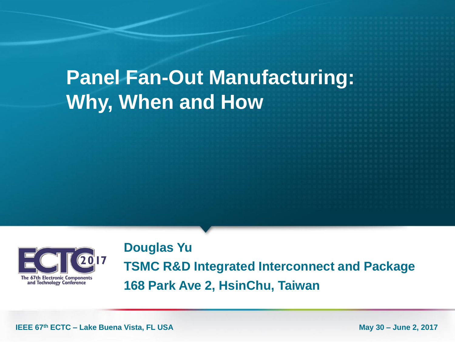# **Panel Fan-Out Manufacturing: Why, When and How**



**Douglas Yu TSMC R&D Integrated Interconnect and Package 168 Park Ave 2, HsinChu, Taiwan**

**IEEE 67<sup>th</sup> ECTC – Lake Buena Vista, FL USA May 30 – June 2, 2017**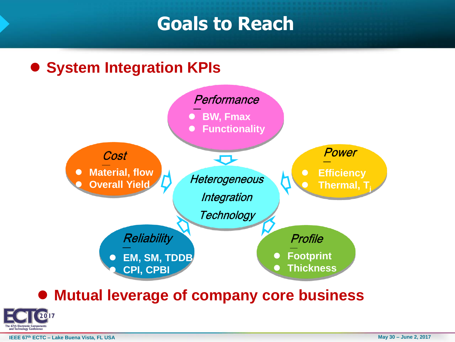### **Goals to Reach**

#### **System Integration KPIs**



#### **Mutual leverage of company core business**



**IEEE 67<sup>th</sup> ECTC – Lake Buena Vista, FL USA May 30 – June 2, 2017**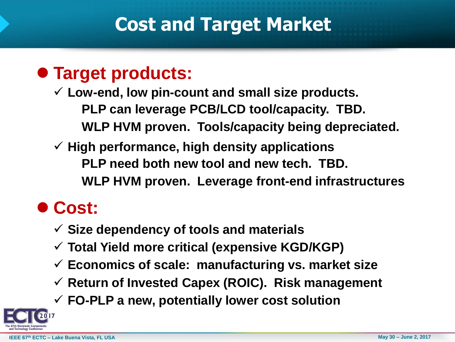# **Cost and Target Market**

#### **Target products:**

 **Low-end, low pin-count and small size products. PLP can leverage PCB/LCD tool/capacity. TBD. WLP HVM proven. Tools/capacity being depreciated.**

 **High performance, high density applications PLP need both new tool and new tech. TBD. WLP HVM proven. Leverage front-end infrastructures**

## **Cost:**

- **Size dependency of tools and materials**
- **Total Yield more critical (expensive KGD/KGP)**
- **Economics of scale: manufacturing vs. market size**
- **Return of Invested Capex (ROIC). Risk management**
- **FO-PLP a new, potentially lower cost solution**

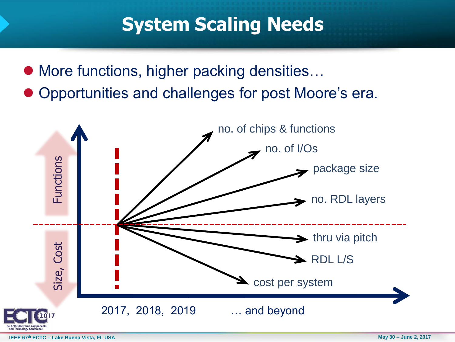## **System Scaling Needs**

- More functions, higher packing densities...
- Opportunities and challenges for post Moore's era.